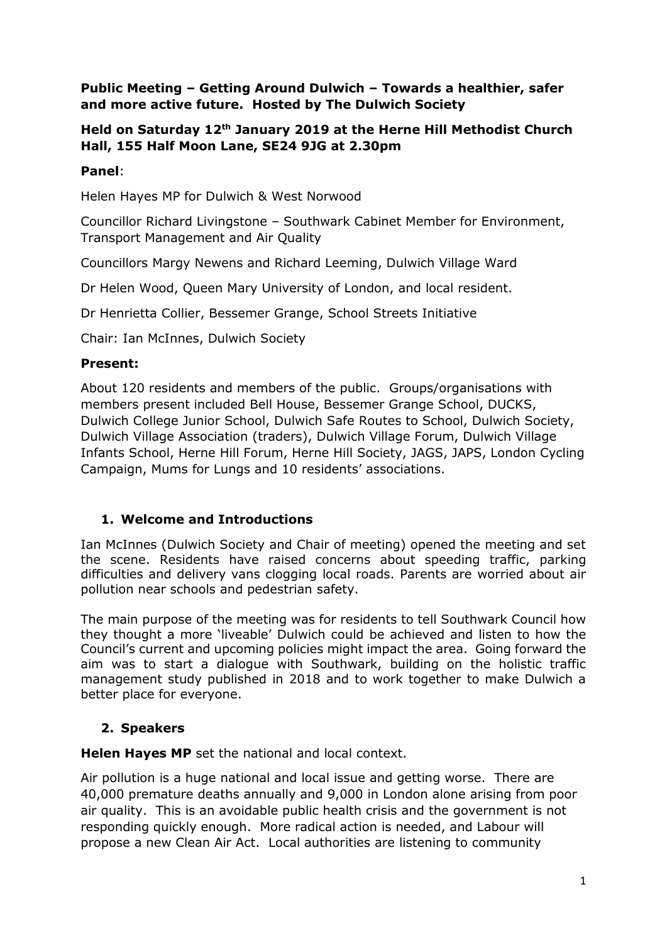#### **Public Meeting – Getting Around Dulwich – Towards a healthier, safer and more active future. Hosted by The Dulwich Society**

# **Held on Saturday 12th January 2019 at the Herne Hill Methodist Church Hall, 155 Half Moon Lane, SE24 9JG at 2.30pm**

# **Panel**:

Helen Hayes MP for Dulwich & West Norwood

Councillor Richard Livingstone – Southwark Cabinet Member for Environment, Transport Management and Air Quality

Councillors Margy Newens and Richard Leeming, Dulwich Village Ward

Dr Helen Wood, Queen Mary University of London, and local resident.

Dr Henrietta Collier, Bessemer Grange, School Streets Initiative

Chair: Ian McInnes, Dulwich Society

### **Present:**

About 120 residents and members of the public. Groups/organisations with members present included Bell House, Bessemer Grange School, DUCKS, Dulwich College Junior School, Dulwich Safe Routes to School, Dulwich Society, Dulwich Village Association (traders), Dulwich Village Forum, Dulwich Village Infants School, Herne Hill Forum, Herne Hill Society, JAGS, JAPS, London Cycling Campaign, Mums for Lungs and 10 residents' associations.

# **1. Welcome and Introductions**

Ian McInnes (Dulwich Society and Chair of meeting) opened the meeting and set the scene. Residents have raised concerns about speeding traffic, parking difficulties and delivery vans clogging local roads. Parents are worried about air pollution near schools and pedestrian safety.

The main purpose of the meeting was for residents to tell Southwark Council how they thought a more 'liveable' Dulwich could be achieved and listen to how the Council's current and upcoming policies might impact the area. Going forward the aim was to start a dialogue with Southwark, building on the holistic traffic management study published in 2018 and to work together to make Dulwich a better place for everyone.

# **2. Speakers**

**Helen Hayes MP** set the national and local context.

Air pollution is a huge national and local issue and getting worse. There are 40,000 premature deaths annually and 9,000 in London alone arising from poor air quality. This is an avoidable public health crisis and the government is not responding quickly enough. More radical action is needed, and Labour will propose a new Clean Air Act. Local authorities are listening to community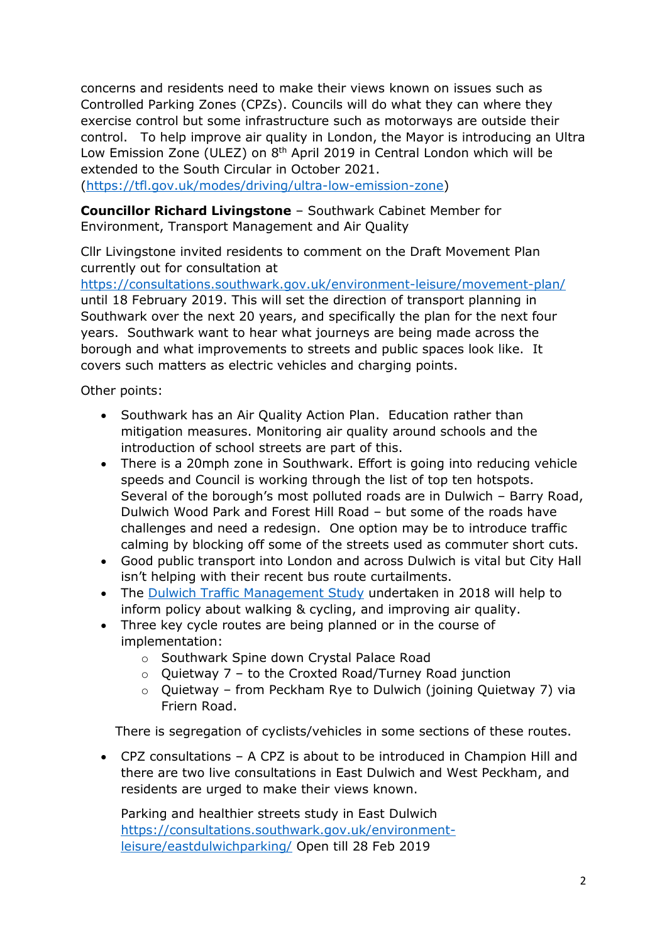concerns and residents need to make their views known on issues such as Controlled Parking Zones (CPZs). Councils will do what they can where they exercise control but some infrastructure such as motorways are outside their control. To help improve air quality in London, the Mayor is introducing an Ultra Low Emission Zone (ULEZ) on 8<sup>th</sup> April 2019 in Central London which will be extended to the South Circular in October 2021.

[\(https://tfl.gov.uk/modes/driving/ultra-low-emission-zone\)](https://tfl.gov.uk/modes/driving/ultra-low-emission-zone)

**Councillor Richard Livingstone** – Southwark Cabinet Member for Environment, Transport Management and Air Quality

Cllr Livingstone invited residents to comment on the Draft Movement Plan currently out for consultation at

<https://consultations.southwark.gov.uk/environment-leisure/movement-plan/> until 18 February 2019. This will set the direction of transport planning in Southwark over the next 20 years, and specifically the plan for the next four years. Southwark want to hear what journeys are being made across the borough and what improvements to streets and public spaces look like. It covers such matters as electric vehicles and charging points.

Other points:

- Southwark has an Air Quality Action Plan. Education rather than mitigation measures. Monitoring air quality around schools and the introduction of school streets are part of this.
- There is a 20mph zone in Southwark. Effort is going into reducing vehicle speeds and Council is working through the list of top ten hotspots. Several of the borough's most polluted roads are in Dulwich – Barry Road, Dulwich Wood Park and Forest Hill Road – but some of the roads have challenges and need a redesign. One option may be to introduce traffic calming by blocking off some of the streets used as commuter short cuts.
- Good public transport into London and across Dulwich is vital but City Hall isn't helping with their recent bus route curtailments.
- The [Dulwich Traffic Management Study](https://www.southwark.gov.uk/planning-and-building-control/planning-policy-and-transport-policy/consultation-and-updates/transport-policy) undertaken in 2018 will help to inform policy about walking & cycling, and improving air quality.
- Three key cycle routes are being planned or in the course of implementation:
	- o Southwark Spine down Crystal Palace Road
	- $\circ$  Quietway 7 to the Croxted Road/Turney Road junction
	- o Quietway from Peckham Rye to Dulwich (joining Quietway 7) via Friern Road.

There is segregation of cyclists/vehicles in some sections of these routes.

• CPZ consultations – A CPZ is about to be introduced in Champion Hill and there are two live consultations in East Dulwich and West Peckham, and residents are urged to make their views known.

Parking and healthier streets study in East Dulwich [https://consultations.southwark.gov.uk/environment](https://consultations.southwark.gov.uk/environment-leisure/eastdulwichparking/)[leisure/eastdulwichparking/](https://consultations.southwark.gov.uk/environment-leisure/eastdulwichparking/) Open till 28 Feb 2019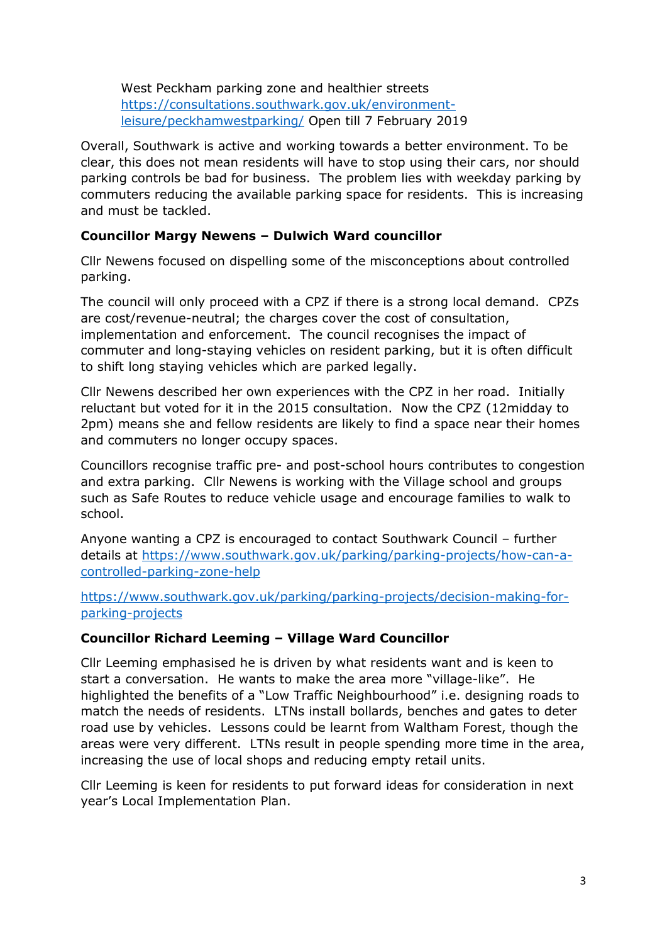West Peckham parking zone and healthier streets [https://consultations.southwark.gov.uk/environment](https://consultations.southwark.gov.uk/environment-leisure/peckhamwestparking/)[leisure/peckhamwestparking/](https://consultations.southwark.gov.uk/environment-leisure/peckhamwestparking/) Open till 7 February 2019

Overall, Southwark is active and working towards a better environment. To be clear, this does not mean residents will have to stop using their cars, nor should parking controls be bad for business. The problem lies with weekday parking by commuters reducing the available parking space for residents. This is increasing and must be tackled.

#### **Councillor Margy Newens – Dulwich Ward councillor**

Cllr Newens focused on dispelling some of the misconceptions about controlled parking.

The council will only proceed with a CPZ if there is a strong local demand. CPZs are cost/revenue-neutral; the charges cover the cost of consultation, implementation and enforcement. The council recognises the impact of commuter and long-staying vehicles on resident parking, but it is often difficult to shift long staying vehicles which are parked legally.

Cllr Newens described her own experiences with the CPZ in her road. Initially reluctant but voted for it in the 2015 consultation. Now the CPZ (12midday to 2pm) means she and fellow residents are likely to find a space near their homes and commuters no longer occupy spaces.

Councillors recognise traffic pre- and post-school hours contributes to congestion and extra parking. Cllr Newens is working with the Village school and groups such as Safe Routes to reduce vehicle usage and encourage families to walk to school.

Anyone wanting a CPZ is encouraged to contact Southwark Council – further details at [https://www.southwark.gov.uk/parking/parking-projects/how-can-a](https://www.southwark.gov.uk/parking/parking-projects/how-can-a-controlled-parking-zone-help)[controlled-parking-zone-help](https://www.southwark.gov.uk/parking/parking-projects/how-can-a-controlled-parking-zone-help)

[https://www.southwark.gov.uk/parking/parking-projects/decision-making-for](https://www.southwark.gov.uk/parking/parking-projects/decision-making-for-parking-projects)[parking-projects](https://www.southwark.gov.uk/parking/parking-projects/decision-making-for-parking-projects)

### **Councillor Richard Leeming – Village Ward Councillor**

Cllr Leeming emphasised he is driven by what residents want and is keen to start a conversation. He wants to make the area more "village-like". He highlighted the benefits of a "Low Traffic Neighbourhood" i.e. designing roads to match the needs of residents. LTNs install bollards, benches and gates to deter road use by vehicles. Lessons could be learnt from Waltham Forest, though the areas were very different. LTNs result in people spending more time in the area, increasing the use of local shops and reducing empty retail units.

Cllr Leeming is keen for residents to put forward ideas for consideration in next year's Local Implementation Plan.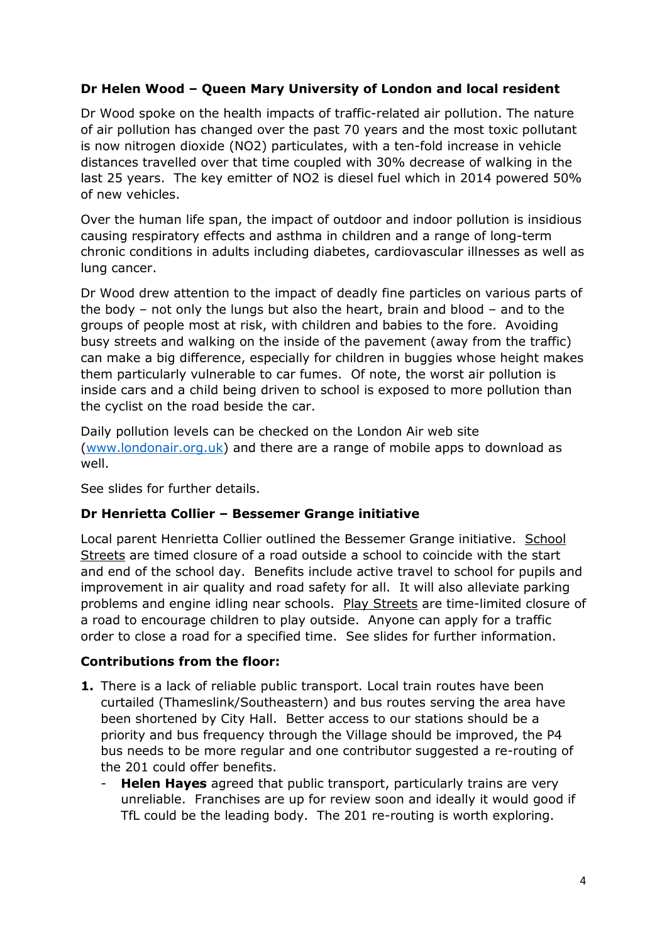# **Dr Helen Wood – Queen Mary University of London and local resident**

Dr Wood spoke on the health impacts of traffic-related air pollution. The nature of air pollution has changed over the past 70 years and the most toxic pollutant is now nitrogen dioxide (NO2) particulates, with a ten-fold increase in vehicle distances travelled over that time coupled with 30% decrease of walking in the last 25 years. The key emitter of NO2 is diesel fuel which in 2014 powered 50% of new vehicles.

Over the human life span, the impact of outdoor and indoor pollution is insidious causing respiratory effects and asthma in children and a range of long-term chronic conditions in adults including diabetes, cardiovascular illnesses as well as lung cancer.

Dr Wood drew attention to the impact of deadly fine particles on various parts of the body – not only the lungs but also the heart, brain and blood – and to the groups of people most at risk, with children and babies to the fore. Avoiding busy streets and walking on the inside of the pavement (away from the traffic) can make a big difference, especially for children in buggies whose height makes them particularly vulnerable to car fumes. Of note, the worst air pollution is inside cars and a child being driven to school is exposed to more pollution than the cyclist on the road beside the car.

Daily pollution levels can be checked on the London Air web site [\(www.londonair.org.uk\)](http://www.londonair.org.uk/) and there are a range of mobile apps to download as well.

See slides for further details.

### **Dr Henrietta Collier – Bessemer Grange initiative**

Local parent Henrietta Collier outlined the Bessemer Grange initiative. School Streets are timed closure of a road outside a school to coincide with the start and end of the school day. Benefits include active travel to school for pupils and improvement in air quality and road safety for all. It will also alleviate parking problems and engine idling near schools. Play Streets are time-limited closure of a road to encourage children to play outside. Anyone can apply for a traffic order to close a road for a specified time. See slides for further information.

#### **Contributions from the floor:**

- **1.** There is a lack of reliable public transport. Local train routes have been curtailed (Thameslink/Southeastern) and bus routes serving the area have been shortened by City Hall. Better access to our stations should be a priority and bus frequency through the Village should be improved, the P4 bus needs to be more regular and one contributor suggested a re-routing of the 201 could offer benefits.
	- **Helen Hayes** agreed that public transport, particularly trains are very unreliable. Franchises are up for review soon and ideally it would good if TfL could be the leading body. The 201 re-routing is worth exploring.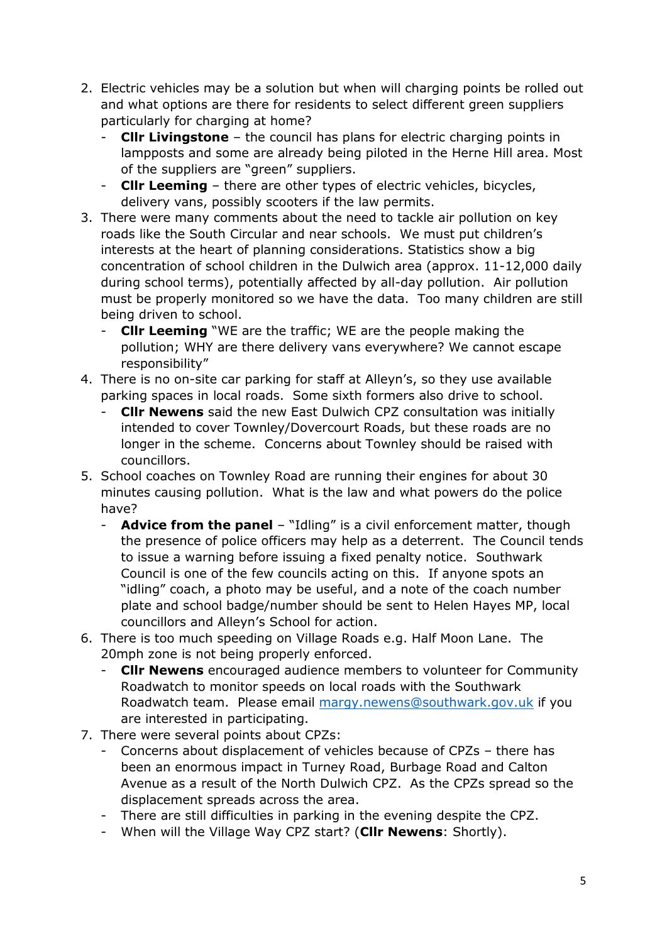- 2. Electric vehicles may be a solution but when will charging points be rolled out and what options are there for residents to select different green suppliers particularly for charging at home?
	- **Cllr Livingstone** the council has plans for electric charging points in lampposts and some are already being piloted in the Herne Hill area. Most of the suppliers are "green" suppliers.
	- **Cllr Leeming** there are other types of electric vehicles, bicycles, delivery vans, possibly scooters if the law permits.
- 3. There were many comments about the need to tackle air pollution on key roads like the South Circular and near schools. We must put children's interests at the heart of planning considerations. Statistics show a big concentration of school children in the Dulwich area (approx. 11-12,000 daily during school terms), potentially affected by all-day pollution. Air pollution must be properly monitored so we have the data. Too many children are still being driven to school.
	- **Cllr Leeming** "WE are the traffic; WE are the people making the pollution; WHY are there delivery vans everywhere? We cannot escape responsibility"
- 4. There is no on-site car parking for staff at Alleyn's, so they use available parking spaces in local roads. Some sixth formers also drive to school.
	- **Cllr Newens** said the new East Dulwich CPZ consultation was initially intended to cover Townley/Dovercourt Roads, but these roads are no longer in the scheme. Concerns about Townley should be raised with councillors.
- 5. School coaches on Townley Road are running their engines for about 30 minutes causing pollution. What is the law and what powers do the police have?
	- **Advice from the panel** "Idling" is a civil enforcement matter, though the presence of police officers may help as a deterrent. The Council tends to issue a warning before issuing a fixed penalty notice. Southwark Council is one of the few councils acting on this. If anyone spots an "idling" coach, a photo may be useful, and a note of the coach number plate and school badge/number should be sent to Helen Hayes MP, local councillors and Alleyn's School for action.
- 6. There is too much speeding on Village Roads e.g. Half Moon Lane. The 20mph zone is not being properly enforced.
	- **Cllr Newens** encouraged audience members to volunteer for Community Roadwatch to monitor speeds on local roads with the Southwark Roadwatch team. Please email [margy.newens@southwark.gov.uk](mailto:margy.newens@southwark.gov.uk) if you are interested in participating.
- 7. There were several points about CPZs:
	- Concerns about displacement of vehicles because of CPZs there has been an enormous impact in Turney Road, Burbage Road and Calton Avenue as a result of the North Dulwich CPZ. As the CPZs spread so the displacement spreads across the area.
	- There are still difficulties in parking in the evening despite the CPZ.
	- When will the Village Way CPZ start? (**Cllr Newens**: Shortly).